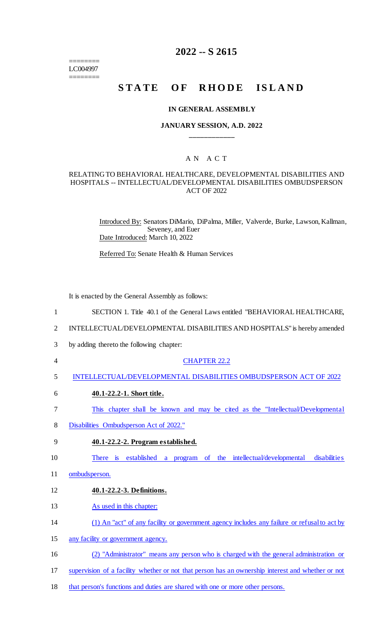======== LC004997 ========

## **2022 -- S 2615**

# STATE OF RHODE ISLAND

#### **IN GENERAL ASSEMBLY**

### **JANUARY SESSION, A.D. 2022 \_\_\_\_\_\_\_\_\_\_\_\_**

## A N A C T

#### RELATING TO BEHAVIORAL HEALTHCARE, DEVELOPMENTAL DISABILITIES AND HOSPITALS -- INTELLECTUAL/DEVELOPMENTAL DISABILITIES OMBUDSPERSON ACT OF 2022

Introduced By: Senators DiMario, DiPalma, Miller, Valverde, Burke, Lawson, Kallman, Seveney, and Euer Date Introduced: March 10, 2022

Referred To: Senate Health & Human Services

It is enacted by the General Assembly as follows:

- 1 SECTION 1. Title 40.1 of the General Laws entitled "BEHAVIORAL HEALTHCARE,
- 2 INTELLECTUAL/DEVELOPMENTAL DISABILITIES AND HOSPITALS" is hereby amended
- 3 by adding thereto the following chapter:
- 4 CHAPTER 22.2
- 5 INTELLECTUAL/DEVELOPMENTAL DISABILITIES OMBUDSPERSON ACT OF 2022
- 6 **40.1-22.2-1. Short title.**
- 7 This chapter shall be known and may be cited as the "Intellectual/Developmental
- 8 Disabilities Ombudsperson Act of 2022."
- 9 **40.1-22.2-2. Program established.**

10 There is established a program of the intellectual/developmental disabilities

- 11 ombudsperson.
- 12 **40.1-22.2-3. Definitions.**
- 13 As used in this chapter:
- 14 (1) An "act" of any facility or government agency includes any failure or refusal to act by
- 15 any facility or government agency.
- 16 (2) "Administrator" means any person who is charged with the general administration or
- 17 supervision of a facility whether or not that person has an ownership interest and whether or not
- 18 that person's functions and duties are shared with one or more other persons.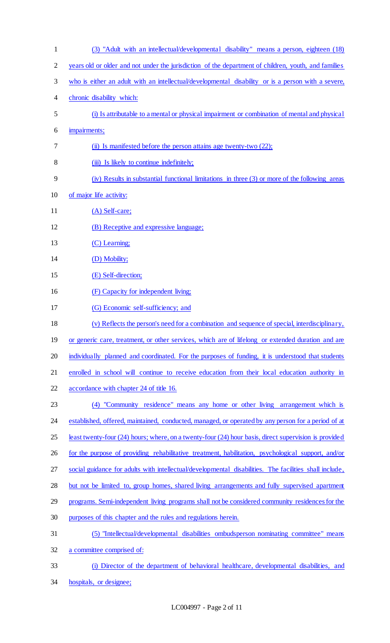| $\mathbf{1}$   | (3) "Adult with an intellectual/developmental disability" means a person, eighteen (18)                |
|----------------|--------------------------------------------------------------------------------------------------------|
| $\overline{2}$ | years old or older and not under the jurisdiction of the department of children, youth, and families   |
| 3              | who is either an adult with an intellectual/developmental disability or is a person with a severe,     |
| 4              | chronic disability which:                                                                              |
| 5              | (i) Is attributable to a mental or physical impairment or combination of mental and physical           |
| 6              | impairments;                                                                                           |
| 7              | (ii) Is manifested before the person attains age twenty-two (22);                                      |
| 8              | (iii) Is likely to continue indefinitely;                                                              |
| 9              | (iv) Results in substantial functional limitations in three (3) or more of the following areas         |
| 10             | of major life activity:                                                                                |
| 11             | $(A)$ Self-care;                                                                                       |
| 12             | (B) Receptive and expressive language;                                                                 |
| 13             | (C) Learning;                                                                                          |
| 14             | (D) Mobility;                                                                                          |
| 15             | (E) Self-direction;                                                                                    |
| 16             | (F) Capacity for independent living;                                                                   |
| 17             | (G) Economic self-sufficiency; and                                                                     |
| 18             | (v) Reflects the person's need for a combination and sequence of special, interdisciplinary,           |
| 19             | or generic care, treatment, or other services, which are of lifelong or extended duration and are      |
| 20             | individually planned and coordinated. For the purposes of funding, it is understood that students      |
| 21             | enrolled in school will continue to receive education from their local education authority in          |
| 22             | accordance with chapter 24 of title 16.                                                                |
| 23             | (4) "Community residence" means any home or other living arrangement which is                          |
| 24             | established, offered, maintained, conducted, managed, or operated by any person for a period of at     |
| 25             | least twenty-four (24) hours; where, on a twenty-four (24) hour basis, direct supervision is provided  |
| 26             | for the purpose of providing rehabilitative treatment, habilitation, psychological support, and/or     |
| 27             | social guidance for adults with intellectual/developmental disabilities. The facilities shall include, |
| 28             | but not be limited to, group homes, shared living arrangements and fully supervised apartment          |
| 29             | programs. Semi-independent living programs shall not be considered community residences for the        |
| 30             | purposes of this chapter and the rules and regulations herein.                                         |
| 31             | (5) "Intellectual/developmental disabilities ombudsperson nominating committee" means                  |
| 32             | a committee comprised of:                                                                              |
| 33             | (i) Director of the department of behavioral healthcare, developmental disabilities, and               |
| 34             | hospitals, or designee;                                                                                |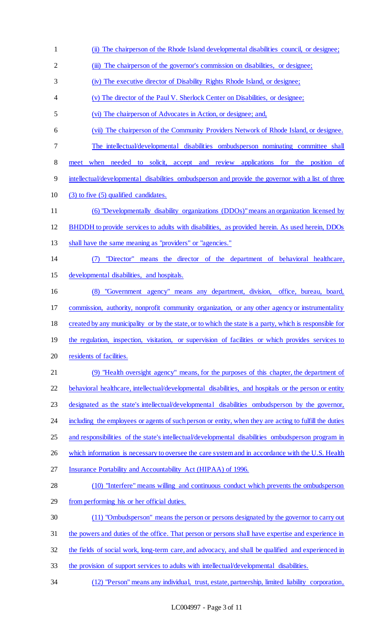(iii) The chairperson of the governor's commission on disabilities, or designee; (iv) The executive director of Disability Rights Rhode Island, or designee; (v) The director of the Paul V. Sherlock Center on Disabilities, or designee; (vi) The chairperson of Advocates in Action, or designee; and, (vii) The chairperson of the Community Providers Network of Rhode Island, or designee. The intellectual/developmental disabilities ombudsperson nominating committee shall meet when needed to solicit, accept and review applications for the position of intellectual/developmental disabilities ombudsperson and provide the governor with a list of three (3) to five (5) qualified candidates. (6) "Developmentally disability organizations (DDOs)" means an organization licensed by BHDDH to provide services to adults with disabilities, as provided herein. As used herein, DDOs shall have the same meaning as "providers" or "agencies." (7) "Director" means the director of the department of behavioral healthcare, developmental disabilities, and hospitals. (8) "Government agency" means any department, division, office, bureau, board, commission, authority, nonprofit community organization, or any other agency or instrumentality 18 created by any municipality or by the state, or to which the state is a party, which is responsible for 19 the regulation, inspection, visitation, or supervision of facilities or which provides services to 20 residents of facilities. (9) "Health oversight agency" means, for the purposes of this chapter, the department of behavioral healthcare, intellectual/developmental disabilities, and hospitals or the person or entity designated as the state's intellectual/developmental disabilities ombudsperson by the governor, 24 including the employees or agents of such person or entity, when they are acting to fulfill the duties and responsibilities of the state's intellectual/developmental disabilities ombudsperson program in 26 which information is necessary to oversee the care system and in accordance with the U.S. Health Insurance Portability and Accountability Act (HIPAA) of 1996. (10) "Interfere" means willing and continuous conduct which prevents the ombudsperson from performing his or her official duties. (11) "Ombudsperson" means the person or persons designated by the governor to carry out

(ii) The chairperson of the Rhode Island developmental disabilities council, or designee;

- the powers and duties of the office. That person or persons shall have expertise and experience in
- the fields of social work, long-term care, and advocacy, and shall be qualified and experienced in
- the provision of support services to adults with intellectual/developmental disabilities.
- (12) "Person" means any individual, trust, estate, partnership, limited liability corporation,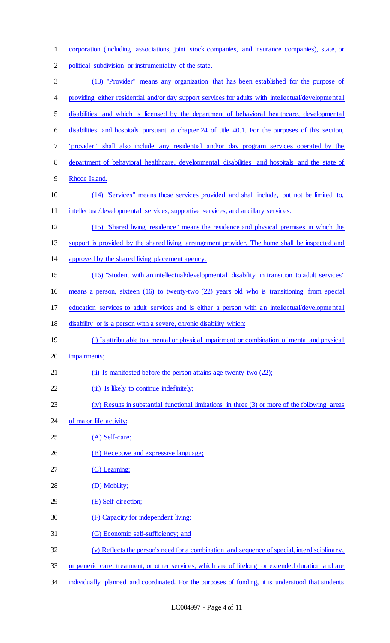| $\mathbf{1}$   | corporation (including associations, joint stock companies, and insurance companies), state, or     |
|----------------|-----------------------------------------------------------------------------------------------------|
| $\overline{2}$ | political subdivision or instrumentality of the state.                                              |
| $\mathfrak{Z}$ | (13) "Provider" means any organization that has been established for the purpose of                 |
| 4              | providing either residential and/or day support services for adults with intellectual/developmental |
| 5              | disabilities and which is licensed by the department of behavioral healthcare, developmental        |
| 6              | disabilities and hospitals pursuant to chapter 24 of title 40.1. For the purposes of this section,  |
| $\tau$         | "provider" shall also include any residential and/or day program services operated by the           |
| 8              | department of behavioral healthcare, developmental disabilities and hospitals and the state of      |
| 9              | Rhode Island.                                                                                       |
| 10             | (14) "Services" means those services provided and shall include, but not be limited to,             |
| 11             | intellectual/developmental services, supportive services, and ancillary services.                   |
| 12             | (15) "Shared living residence" means the residence and physical premises in which the               |
| 13             | support is provided by the shared living arrangement provider. The home shall be inspected and      |
| 14             | approved by the shared living placement agency.                                                     |
| 15             | (16) "Student with an intellectual/developmental disability in transition to adult services"        |
| 16             | means a person, sixteen (16) to twenty-two (22) years old who is transitioning from special         |
|                | education services to adult services and is either a person with an intellectual/developmental      |
| 17             |                                                                                                     |
| 18             | disability or is a person with a severe, chronic disability which:                                  |
| 19             | (i) Is attributable to a mental or physical impairment or combination of mental and physical        |
| 20             | impairments;                                                                                        |
| 21             | (ii) Is manifested before the person attains age twenty-two (22);                                   |
| 22             | (iii) Is likely to continue indefinitely;                                                           |
| 23             | (iv) Results in substantial functional limitations in three (3) or more of the following areas      |
| 24             | of major life activity:                                                                             |
| 25             | $(A)$ Self-care;                                                                                    |
| 26             | (B) Receptive and expressive language;                                                              |
| 27             | (C) Learning;                                                                                       |
| 28             | (D) Mobility;                                                                                       |
| 29             | (E) Self-direction;                                                                                 |
| 30             | (F) Capacity for independent living;                                                                |
| 31             | (G) Economic self-sufficiency; and                                                                  |
| 32             | (v) Reflects the person's need for a combination and sequence of special, interdisciplinary,        |
| 33             | or generic care, treatment, or other services, which are of lifelong or extended duration and are   |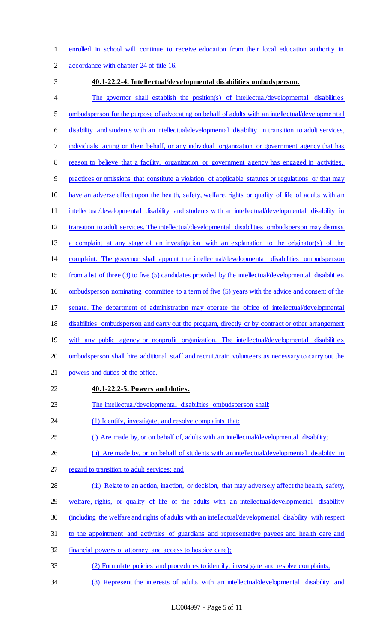enrolled in school will continue to receive education from their local education authority in

accordance with chapter 24 of title 16.

#### **40.1-22.2-4. Intellectual/developmental disabilities ombudsperson.**

 The governor shall establish the position(s) of intellectual/developmental disabilities 5 ombudsperson for the purpose of advocating on behalf of adults with an intellectual/developmental disability and students with an intellectual/developmental disability in transition to adult services, individuals acting on their behalf, or any individual organization or government agency that has reason to believe that a facility, organization or government agency has engaged in activities, practices or omissions that constitute a violation of applicable statutes or regulations or that may have an adverse effect upon the health, safety, welfare, rights or quality of life of adults with an 11 intellectual/developmental disability and students with an intellectual/developmental disability in transition to adult services. The intellectual/developmental disabilities ombudsperson may dismiss a complaint at any stage of an investigation with an explanation to the originator(s) of the complaint. The governor shall appoint the intellectual/developmental disabilities ombudsperson from a list of three (3) to five (5) candidates provided by the intellectual/developmental disabilities ombudsperson nominating committee to a term of five (5) years with the advice and consent of the senate. The department of administration may operate the office of intellectual/developmental disabilities ombudsperson and carry out the program, directly or by contract or other arrangement with any public agency or nonprofit organization. The intellectual/developmental disabilities ombudsperson shall hire additional staff and recruit/train volunteers as necessary to carry out the powers and duties of the office. **40.1-22.2-5. Powers and duties.**  The intellectual/developmental disabilities ombudsperson shall: 24 (1) Identify, investigate, and resolve complaints that: (i) Are made by, or on behalf of, adults with an intellectual/developmental disability; 26 (ii) Are made by, or on behalf of students with an intellectual/developmental disability in 27 regard to transition to adult services; and (iii) Relate to an action, inaction, or decision, that may adversely affect the health, safety, welfare, rights, or quality of life of the adults with an intellectual/developmental disability (including the welfare and rights of adults with an intellectual/developmental disability with respect

- to the appointment and activities of guardians and representative payees and health care and
- financial powers of attorney, and access to hospice care);
- (2) Formulate policies and procedures to identify, investigate and resolve complaints;
- (3) Represent the interests of adults with an intellectual/developmental disability and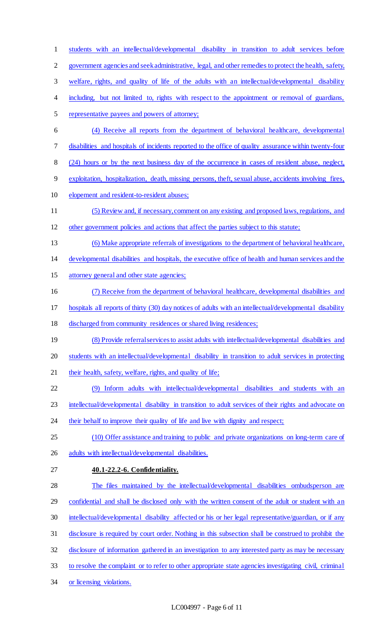students with an intellectual/developmental disability in transition to adult services before government agencies and seek administrative, legal, and other remedies to protect the health, safety, welfare, rights, and quality of life of the adults with an intellectual/developmental disability 4 including, but not limited to, rights with respect to the appointment or removal of guardians, representative payees and powers of attorney; (4) Receive all reports from the department of behavioral healthcare, developmental disabilities and hospitals of incidents reported to the office of quality assurance within twenty-four (24) hours or by the next business day of the occurrence in cases of resident abuse, neglect, exploitation, hospitalization, death, missing persons, theft, sexual abuse, accidents involving fires, elopement and resident-to-resident abuses; (5) Review and, if necessary, comment on any existing and proposed laws, regulations, and other government policies and actions that affect the parties subject to this statute; (6) Make appropriate referrals of investigations to the department of behavioral healthcare, developmental disabilities and hospitals, the executive office of health and human services and the attorney general and other state agencies; (7) Receive from the department of behavioral healthcare, developmental disabilities and hospitals all reports of thirty (30) day notices of adults with an intellectual/developmental disability discharged from community residences or shared living residences; 19 (8) Provide referral services to assist adults with intellectual/developmental disabilities and students with an intellectual/developmental disability in transition to adult services in protecting 21 their health, safety, welfare, rights, and quality of life; (9) Inform adults with intellectual/developmental disabilities and students with an intellectual/developmental disability in transition to adult services of their rights and advocate on 24 their behalf to improve their quality of life and live with dignity and respect; (10) Offer assistance and training to public and private organizations on long-term care of 26 adults with intellectual/developmental disabilities. **40.1-22.2-6. Confidentiality.**  The files maintained by the intellectual/developmental disabilities ombudsperson are 29 confidential and shall be disclosed only with the written consent of the adult or student with an 30 intellectual/developmental disability affected or his or her legal representative/guardian, or if any disclosure is required by court order. Nothing in this subsection shall be construed to prohibit the disclosure of information gathered in an investigation to any interested party as may be necessary to resolve the complaint or to refer to other appropriate state agencies investigating civil, criminal or licensing violations.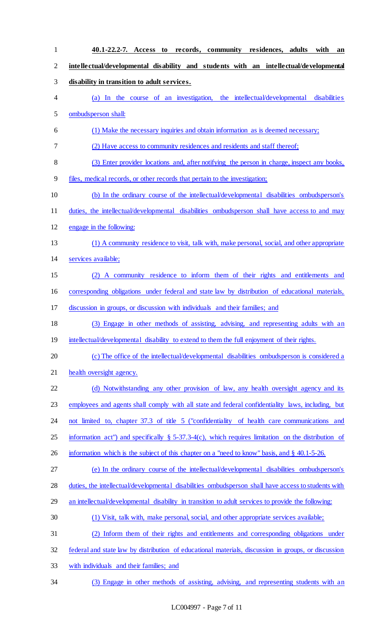**40.1-22.2-7. Access to records, community residences, adults with an intellectual/developmental disability and students with an intellectual/developmental disability in transition to adult services.**  (a) In the course of an investigation, the intellectual/developmental disabilities ombudsperson shall: (1) Make the necessary inquiries and obtain information as is deemed necessary; (2) Have access to community residences and residents and staff thereof; (3) Enter provider locations and, after notifying the person in charge, inspect any books, files, medical records, or other records that pertain to the investigation; (b) In the ordinary course of the intellectual/developmental disabilities ombudsperson's duties, the intellectual/developmental disabilities ombudsperson shall have access to and may engage in the following: (1) A community residence to visit, talk with, make personal, social, and other appropriate services available; (2) A community residence to inform them of their rights and entitlements and corresponding obligations under federal and state law by distribution of educational materials, discussion in groups, or discussion with individuals and their families; and (3) Engage in other methods of assisting, advising, and representing adults with an 19 intellectual/developmental disability to extend to them the full enjoyment of their rights. 20 (c) The office of the intellectual/developmental disabilities ombudsperson is considered a health oversight agency. 22 (d) Notwithstanding any other provision of law, any health oversight agency and its employees and agents shall comply with all state and federal confidentiality laws, including, but not limited to, chapter 37.3 of title 5 ("confidentiality of health care communications and information act") and specifically § 5-37.3-4(c), which requires limitation on the distribution of 26 information which is the subject of this chapter on a "need to know" basis, and § 40.1-5-26. (e) In the ordinary course of the intellectual/developmental disabilities ombudsperson's duties, the intellectual/developmental disabilities ombudsperson shall have access to students with 29 an intellectual/developmental disability in transition to adult services to provide the following: (1) Visit, talk with, make personal, social, and other appropriate services available; (2) Inform them of their rights and entitlements and corresponding obligations under federal and state law by distribution of educational materials, discussion in groups, or discussion with individuals and their families; and (3) Engage in other methods of assisting, advising, and representing students with an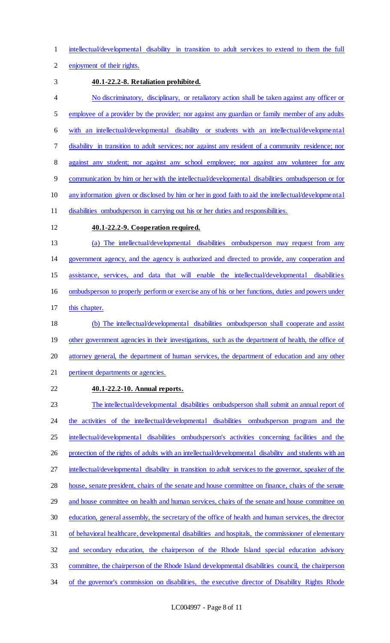intellectual/developmental disability in transition to adult services to extend to them the full

enjoyment of their rights.

### **40.1-22.2-8. Retaliation prohibited.**

 No discriminatory, disciplinary, or retaliatory action shall be taken against any officer or 5 employee of a provider by the provider; nor against any guardian or family member of any adults with an intellectual/developmental disability or students with an intellectual/developmental disability in transition to adult services; nor against any resident of a community residence; nor 8 against any student; nor against any school employee; nor against any volunteer for any communication by him or her with the intellectual/developmental disabilities ombudsperson or for any information given or disclosed by him or her in good faith to aid the intellectual/developmental disabilities ombudsperson in carrying out his or her duties and responsibilities.

## **40.1-22.2-9. Cooperation required.**

 (a) The intellectual/developmental disabilities ombudsperson may request from any government agency, and the agency is authorized and directed to provide, any cooperation and assistance, services, and data that will enable the intellectual/developmental disabilities ombudsperson to properly perform or exercise any of his or her functions, duties and powers under

this chapter.

 (b) The intellectual/developmental disabilities ombudsperson shall cooperate and assist 19 other government agencies in their investigations, such as the department of health, the office of attorney general, the department of human services, the department of education and any other pertinent departments or agencies.

**40.1-22.2-10. Annual reports.** 

 The intellectual/developmental disabilities ombudsperson shall submit an annual report of 24 the activities of the intellectual/developmental disabilities ombudsperson program and the 25 intellectual/developmental disabilities ombudsperson's activities concerning facilities and the 26 protection of the rights of adults with an intellectual/developmental disability and students with an intellectual/developmental disability in transition to adult services to the governor, speaker of the house, senate president, chairs of the senate and house committee on finance, chairs of the senate 29 and house committee on health and human services, chairs of the senate and house committee on education, general assembly, the secretary of the office of health and human services, the director of behavioral healthcare, developmental disabilities and hospitals, the commissioner of elementary and secondary education, the chairperson of the Rhode Island special education advisory committee, the chairperson of the Rhode Island developmental disabilities council, the chairperson 34 of the governor's commission on disabilities, the executive director of Disability Rights Rhode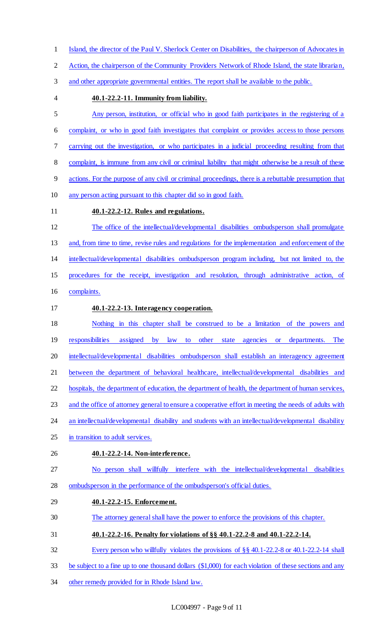- Island, the director of the Paul V. Sherlock Center on Disabilities, the chairperson of Advocates in
- Action, the chairperson of the Community Providers Network of Rhode Island, the state librarian,
- and other appropriate governmental entities. The report shall be available to the public.
- 

## **40.1-22.2-11. Immunity from liability.**

 Any person, institution, or official who in good faith participates in the registering of a complaint, or who in good faith investigates that complaint or provides access to those persons carrying out the investigation, or who participates in a judicial proceeding resulting from that complaint, is immune from any civil or criminal liability that might otherwise be a result of these actions. For the purpose of any civil or criminal proceedings, there is a rebuttable presumption that any person acting pursuant to this chapter did so in good faith. **40.1-22.2-12. Rules and regulations.**  The office of the intellectual/developmental disabilities ombudsperson shall promulgate and, from time to time, revise rules and regulations for the implementation and enforcement of the

intellectual/developmental disabilities ombudsperson program including, but not limited to, the

procedures for the receipt, investigation and resolution, through administrative action, of

- complaints.
- **40.1-22.2-13. Interagency cooperation.**
- Nothing in this chapter shall be construed to be a limitation of the powers and
- responsibilities assigned by law to other state agencies or departments. The intellectual/developmental disabilities ombudsperson shall establish an interagency agreement
- 

between the department of behavioral healthcare, intellectual/developmental disabilities and

hospitals, the department of education, the department of health, the department of human services,

and the office of attorney general to ensure a cooperative effort in meeting the needs of adults with

- 24 an intellectual/developmental disability and students with an intellectual/developmental disability
- in transition to adult services.
- **40.1-22.2-14. Non-interference.**
- No person shall willfully interfere with the intellectual/developmental disabilities ombudsperson in the performance of the ombudsperson's official duties.
- **40.1-22.2-15. Enforcement.**
- The attorney general shall have the power to enforce the provisions of this chapter.
- **40.1-22.2-16. Penalty for violations of §§ 40.1-22.2-8 and 40.1-22.2-14.**
- Every person who willfully violates the provisions of §§ 40.1-22.2-8 or 40.1-22.2-14 shall
- be subject to a fine up to one thousand dollars (\$1,000) for each violation of these sections and any
- other remedy provided for in Rhode Island law.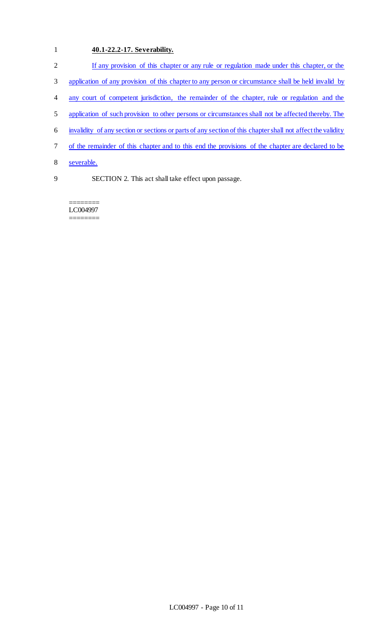# 1 **40.1-22.2-17. Severability.**

| $\overline{2}$ | If any provision of this chapter or any rule or regulation made under this chapter, or the                  |
|----------------|-------------------------------------------------------------------------------------------------------------|
| 3              | application of any provision of this chapter to any person or circumstance shall be held invalid by         |
| 4              | any court of competent jurisdiction, the remainder of the chapter, rule or regulation and the               |
| 5              | application of such provision to other persons or circumstances shall not be affected thereby. The          |
| 6              | invalidity of any section or sections or parts of any section of this chapter shall not affect the validity |
| 7              | of the remainder of this chapter and to this end the provisions of the chapter are declared to be           |
| 8              | severable.                                                                                                  |
| 9              | SECTION 2. This act shall take effect upon passage.                                                         |

======== LC004997 ========